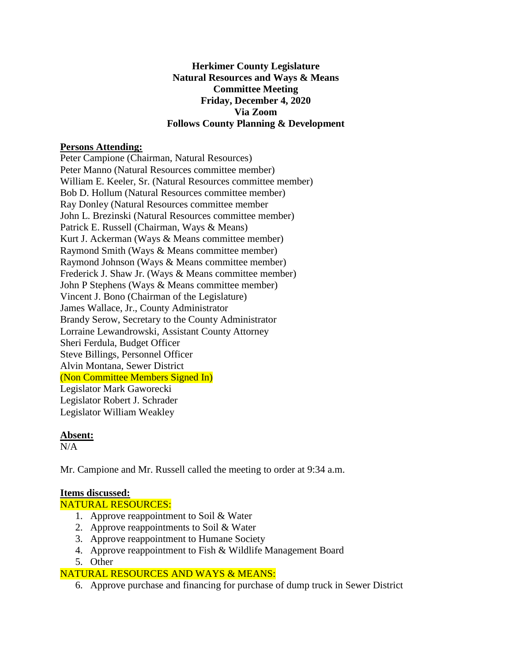# **Herkimer County Legislature Natural Resources and Ways & Means Committee Meeting Friday, December 4, 2020 Via Zoom Follows County Planning & Development**

## **Persons Attending:**

Peter Campione (Chairman, Natural Resources) Peter Manno (Natural Resources committee member) William E. Keeler, Sr. (Natural Resources committee member) Bob D. Hollum (Natural Resources committee member) Ray Donley (Natural Resources committee member John L. Brezinski (Natural Resources committee member) Patrick E. Russell (Chairman, Ways & Means) Kurt J. Ackerman (Ways & Means committee member) Raymond Smith (Ways & Means committee member) Raymond Johnson (Ways & Means committee member) Frederick J. Shaw Jr. (Ways & Means committee member) John P Stephens (Ways & Means committee member) Vincent J. Bono (Chairman of the Legislature) James Wallace, Jr., County Administrator Brandy Serow, Secretary to the County Administrator Lorraine Lewandrowski, Assistant County Attorney Sheri Ferdula, Budget Officer Steve Billings, Personnel Officer Alvin Montana, Sewer District (Non Committee Members Signed In) Legislator Mark Gaworecki Legislator Robert J. Schrader Legislator William Weakley

### **Absent:**

 $N/A$ 

Mr. Campione and Mr. Russell called the meeting to order at 9:34 a.m.

# **Items discussed:**

NATURAL RESOURCES:

- 1. Approve reappointment to Soil & Water
- 2. Approve reappointments to Soil & Water
- 3. Approve reappointment to Humane Society
- 4. Approve reappointment to Fish & Wildlife Management Board
- 5. Other

# NATURAL RESOURCES AND WAYS & MEANS:

6. Approve purchase and financing for purchase of dump truck in Sewer District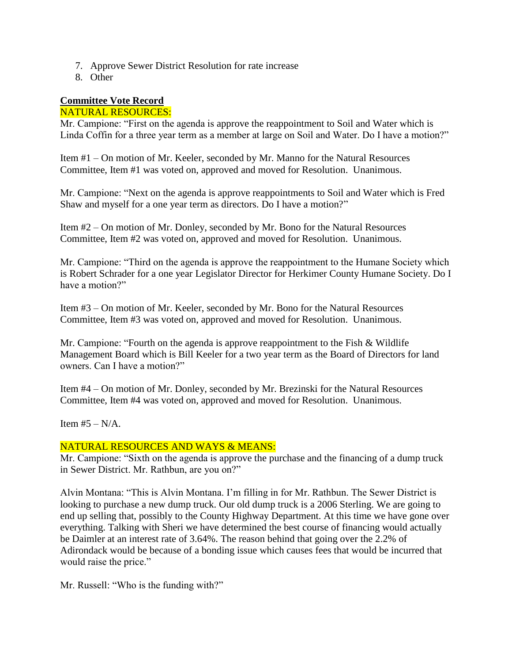- 7. Approve Sewer District Resolution for rate increase
- 8. Other

# **Committee Vote Record**

# NATURAL RESOURCES:

Mr. Campione: "First on the agenda is approve the reappointment to Soil and Water which is Linda Coffin for a three year term as a member at large on Soil and Water. Do I have a motion?"

Item #1 – On motion of Mr. Keeler, seconded by Mr. Manno for the Natural Resources Committee, Item #1 was voted on, approved and moved for Resolution. Unanimous.

Mr. Campione: "Next on the agenda is approve reappointments to Soil and Water which is Fred Shaw and myself for a one year term as directors. Do I have a motion?"

Item #2 – On motion of Mr. Donley, seconded by Mr. Bono for the Natural Resources Committee, Item #2 was voted on, approved and moved for Resolution. Unanimous.

Mr. Campione: "Third on the agenda is approve the reappointment to the Humane Society which is Robert Schrader for a one year Legislator Director for Herkimer County Humane Society. Do I have a motion?"

Item #3 – On motion of Mr. Keeler, seconded by Mr. Bono for the Natural Resources Committee, Item #3 was voted on, approved and moved for Resolution. Unanimous.

Mr. Campione: "Fourth on the agenda is approve reappointment to the Fish & Wildlife Management Board which is Bill Keeler for a two year term as the Board of Directors for land owners. Can I have a motion?"

Item #4 – On motion of Mr. Donley, seconded by Mr. Brezinski for the Natural Resources Committee, Item #4 was voted on, approved and moved for Resolution. Unanimous.

Item  $#5 - N/A$ .

### NATURAL RESOURCES AND WAYS & MEANS:

Mr. Campione: "Sixth on the agenda is approve the purchase and the financing of a dump truck in Sewer District. Mr. Rathbun, are you on?"

Alvin Montana: "This is Alvin Montana. I'm filling in for Mr. Rathbun. The Sewer District is looking to purchase a new dump truck. Our old dump truck is a 2006 Sterling. We are going to end up selling that, possibly to the County Highway Department. At this time we have gone over everything. Talking with Sheri we have determined the best course of financing would actually be Daimler at an interest rate of 3.64%. The reason behind that going over the 2.2% of Adirondack would be because of a bonding issue which causes fees that would be incurred that would raise the price."

Mr. Russell: "Who is the funding with?"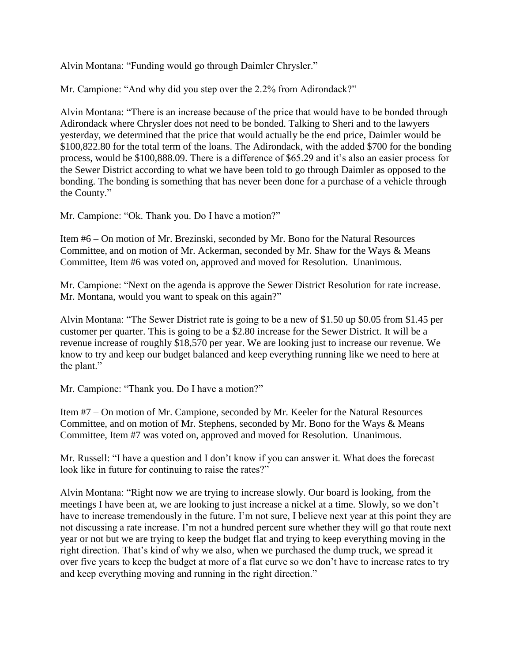Alvin Montana: "Funding would go through Daimler Chrysler."

Mr. Campione: "And why did you step over the 2.2% from Adirondack?"

Alvin Montana: "There is an increase because of the price that would have to be bonded through Adirondack where Chrysler does not need to be bonded. Talking to Sheri and to the lawyers yesterday, we determined that the price that would actually be the end price, Daimler would be \$100,822.80 for the total term of the loans. The Adirondack, with the added \$700 for the bonding process, would be \$100,888.09. There is a difference of \$65.29 and it's also an easier process for the Sewer District according to what we have been told to go through Daimler as opposed to the bonding. The bonding is something that has never been done for a purchase of a vehicle through the County."

Mr. Campione: "Ok. Thank you. Do I have a motion?"

Item #6 – On motion of Mr. Brezinski, seconded by Mr. Bono for the Natural Resources Committee, and on motion of Mr. Ackerman, seconded by Mr. Shaw for the Ways & Means Committee, Item #6 was voted on, approved and moved for Resolution. Unanimous.

Mr. Campione: "Next on the agenda is approve the Sewer District Resolution for rate increase. Mr. Montana, would you want to speak on this again?"

Alvin Montana: "The Sewer District rate is going to be a new of \$1.50 up \$0.05 from \$1.45 per customer per quarter. This is going to be a \$2.80 increase for the Sewer District. It will be a revenue increase of roughly \$18,570 per year. We are looking just to increase our revenue. We know to try and keep our budget balanced and keep everything running like we need to here at the plant."

Mr. Campione: "Thank you. Do I have a motion?"

Item #7 – On motion of Mr. Campione, seconded by Mr. Keeler for the Natural Resources Committee, and on motion of Mr. Stephens, seconded by Mr. Bono for the Ways & Means Committee, Item #7 was voted on, approved and moved for Resolution. Unanimous.

Mr. Russell: "I have a question and I don't know if you can answer it. What does the forecast look like in future for continuing to raise the rates?"

Alvin Montana: "Right now we are trying to increase slowly. Our board is looking, from the meetings I have been at, we are looking to just increase a nickel at a time. Slowly, so we don't have to increase tremendously in the future. I'm not sure, I believe next year at this point they are not discussing a rate increase. I'm not a hundred percent sure whether they will go that route next year or not but we are trying to keep the budget flat and trying to keep everything moving in the right direction. That's kind of why we also, when we purchased the dump truck, we spread it over five years to keep the budget at more of a flat curve so we don't have to increase rates to try and keep everything moving and running in the right direction."